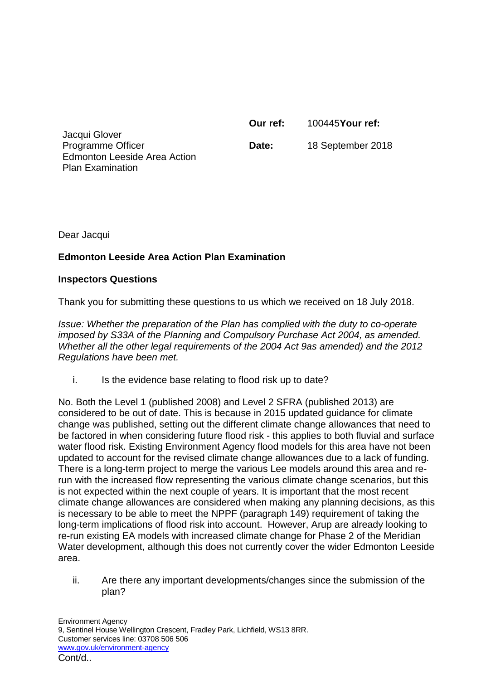**Our ref:** 100445**Your ref:**

Jacqui Glover Programme Officer Edmonton Leeside Area Action Plan Examination

**Date:** 18 September 2018

Dear Jacqui

## **Edmonton Leeside Area Action Plan Examination**

## **Inspectors Questions**

Thank you for submitting these questions to us which we received on 18 July 2018.

*Issue: Whether the preparation of the Plan has complied with the duty to co-operate imposed by S33A of the Planning and Compulsory Purchase Act 2004, as amended. Whether all the other legal requirements of the 2004 Act 9as amended) and the 2012 Regulations have been met.*

i. Is the evidence base relating to flood risk up to date?

No. Both the Level 1 (published 2008) and Level 2 SFRA (published 2013) are considered to be out of date. This is because in 2015 updated guidance for climate change was published, setting out the different climate change allowances that need to be factored in when considering future flood risk - this applies to both fluvial and surface water flood risk. Existing Environment Agency flood models for this area have not been updated to account for the revised climate change allowances due to a lack of funding. There is a long-term project to merge the various Lee models around this area and rerun with the increased flow representing the various climate change scenarios, but this is not expected within the next couple of years. It is important that the most recent climate change allowances are considered when making any planning decisions, as this is necessary to be able to meet the NPPF (paragraph 149) requirement of taking the long-term implications of flood risk into account. However, Arup are already looking to re-run existing EA models with increased climate change for Phase 2 of the Meridian Water development, although this does not currently cover the wider Edmonton Leeside area.

ii. Are there any important developments/changes since the submission of the plan?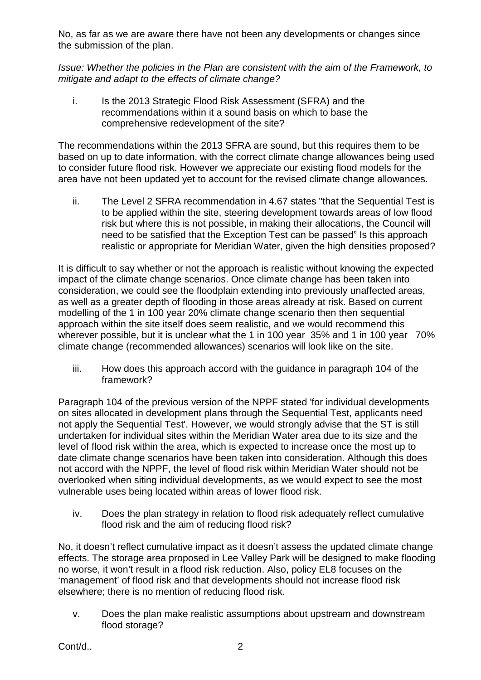No, as far as we are aware there have not been any developments or changes since the submission of the plan.

*Issue: Whether the policies in the Plan are consistent with the aim of the Framework, to mitigate and adapt to the effects of climate change?*

i. Is the 2013 Strategic Flood Risk Assessment (SFRA) and the recommendations within it a sound basis on which to base the comprehensive redevelopment of the site?

The recommendations within the 2013 SFRA are sound, but this requires them to be based on up to date information, with the correct climate change allowances being used to consider future flood risk. However we appreciate our existing flood models for the area have not been updated yet to account for the revised climate change allowances.

ii. The Level 2 SFRA recommendation in 4.67 states "that the Sequential Test is to be applied within the site, steering development towards areas of low flood risk but where this is not possible, in making their allocations, the Council will need to be satisfied that the Exception Test can be passed" Is this approach realistic or appropriate for Meridian Water, given the high densities proposed?

It is difficult to say whether or not the approach is realistic without knowing the expected impact of the climate change scenarios. Once climate change has been taken into consideration, we could see the floodplain extending into previously unaffected areas, as well as a greater depth of flooding in those areas already at risk. Based on current modelling of the 1 in 100 year 20% climate change scenario then then sequential approach within the site itself does seem realistic, and we would recommend this wherever possible, but it is unclear what the 1 in 100 year 35% and 1 in 100 year 70% climate change (recommended allowances) scenarios will look like on the site.

iii. How does this approach accord with the guidance in paragraph 104 of the framework?

Paragraph 104 of the previous version of the NPPF stated 'for individual developments on sites allocated in development plans through the Sequential Test, applicants need not apply the Sequential Test'. However, we would strongly advise that the ST is still undertaken for individual sites within the Meridian Water area due to its size and the level of flood risk within the area, which is expected to increase once the most up to date climate change scenarios have been taken into consideration. Although this does not accord with the NPPF, the level of flood risk within Meridian Water should not be overlooked when siting individual developments, as we would expect to see the most vulnerable uses being located within areas of lower flood risk.

iv. Does the plan strategy in relation to flood risk adequately reflect cumulative flood risk and the aim of reducing flood risk?

No, it doesn't reflect cumulative impact as it doesn't assess the updated climate change effects. The storage area proposed in Lee Valley Park will be designed to make flooding no worse, it won't result in a flood risk reduction. Also, policy EL8 focuses on the 'management' of flood risk and that developments should not increase flood risk elsewhere; there is no mention of reducing flood risk.

v. Does the plan make realistic assumptions about upstream and downstream flood storage?

Cont/d.. 2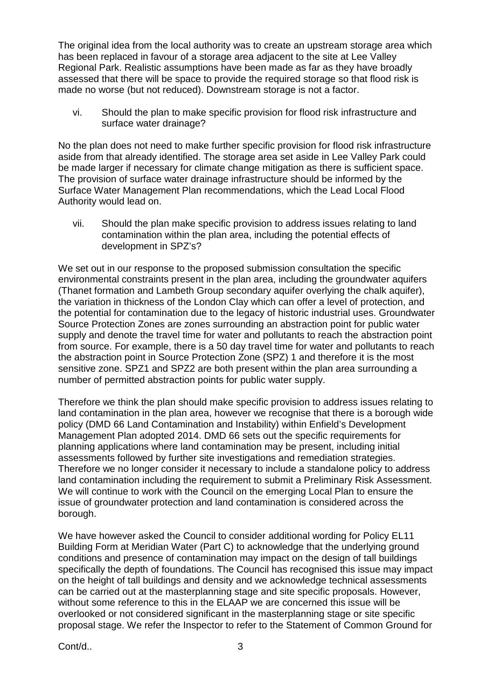The original idea from the local authority was to create an upstream storage area which has been replaced in favour of a storage area adjacent to the site at Lee Valley Regional Park. Realistic assumptions have been made as far as they have broadly assessed that there will be space to provide the required storage so that flood risk is made no worse (but not reduced). Downstream storage is not a factor.

vi. Should the plan to make specific provision for flood risk infrastructure and surface water drainage?

No the plan does not need to make further specific provision for flood risk infrastructure aside from that already identified. The storage area set aside in Lee Valley Park could be made larger if necessary for climate change mitigation as there is sufficient space. The provision of surface water drainage infrastructure should be informed by the Surface Water Management Plan recommendations, which the Lead Local Flood Authority would lead on.

vii. Should the plan make specific provision to address issues relating to land contamination within the plan area, including the potential effects of development in SPZ's?

We set out in our response to the proposed submission consultation the specific environmental constraints present in the plan area, including the groundwater aquifers (Thanet formation and Lambeth Group secondary aquifer overlying the chalk aquifer), the variation in thickness of the London Clay which can offer a level of protection, and the potential for contamination due to the legacy of historic industrial uses. Groundwater Source Protection Zones are zones surrounding an abstraction point for public water supply and denote the travel time for water and pollutants to reach the abstraction point from source. For example, there is a 50 day travel time for water and pollutants to reach the abstraction point in Source Protection Zone (SPZ) 1 and therefore it is the most sensitive zone. SPZ1 and SPZ2 are both present within the plan area surrounding a number of permitted abstraction points for public water supply.

Therefore we think the plan should make specific provision to address issues relating to land contamination in the plan area, however we recognise that there is a borough wide policy (DMD 66 Land Contamination and Instability) within Enfield's Development Management Plan adopted 2014. DMD 66 sets out the specific requirements for planning applications where land contamination may be present, including initial assessments followed by further site investigations and remediation strategies. Therefore we no longer consider it necessary to include a standalone policy to address land contamination including the requirement to submit a Preliminary Risk Assessment. We will continue to work with the Council on the emerging Local Plan to ensure the issue of groundwater protection and land contamination is considered across the borough.

We have however asked the Council to consider additional wording for Policy EL11 Building Form at Meridian Water (Part C) to acknowledge that the underlying ground conditions and presence of contamination may impact on the design of tall buildings specifically the depth of foundations. The Council has recognised this issue may impact on the height of tall buildings and density and we acknowledge technical assessments can be carried out at the masterplanning stage and site specific proposals. However, without some reference to this in the ELAAP we are concerned this issue will be overlooked or not considered significant in the masterplanning stage or site specific proposal stage. We refer the Inspector to refer to the Statement of Common Ground for